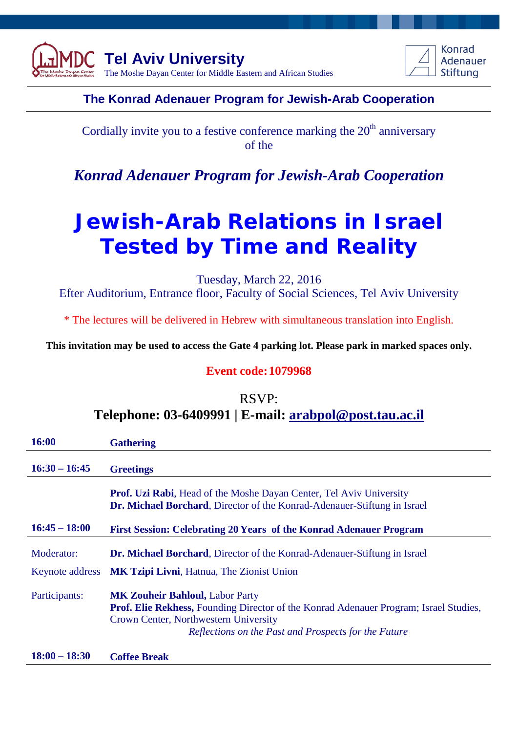



### **The Konrad Adenauer Program for Jewish-Arab Cooperation**

Cordially invite you to a festive conference marking the  $20<sup>th</sup>$  anniversary of the

*Konrad Adenauer Program for Jewish-Arab Cooperation*

# **Jewish-Arab Relations in Israel Tested by Time and Reality**

Tuesday, March 22, 2016

Efter Auditorium, Entrance floor, Faculty of Social Sciences, Tel Aviv University

\* The lectures will be delivered in Hebrew with simultaneous translation into English.

**This invitation may be used to access the Gate 4 parking lot. Please park in marked spaces only.**

#### **Event code:1079968**

## RSVP: **Telephone: 03-6409991 | E-mail: [arabpol@post.tau.ac.il](mailto:arabpol@post.tau.ac.il)**

| 16:00                                | <b>Gathering</b>                                                                                                                                                                                                                        |
|--------------------------------------|-----------------------------------------------------------------------------------------------------------------------------------------------------------------------------------------------------------------------------------------|
| $16:30 - 16:45$                      | <b>Greetings</b>                                                                                                                                                                                                                        |
|                                      | <b>Prof. Uzi Rabi</b> , Head of the Moshe Dayan Center, Tel Aviv University<br>Dr. Michael Borchard, Director of the Konrad-Adenauer-Stiftung in Israel                                                                                 |
| $16:45 - 18:00$                      | First Session: Celebrating 20 Years of the Konrad Adenauer Program                                                                                                                                                                      |
| Moderator:<br><b>Keynote address</b> | <b>Dr. Michael Borchard</b> , Director of the Konrad-Adenauer-Stiftung in Israel<br><b>MK Tzipi Livni, Hatnua, The Zionist Union</b>                                                                                                    |
| Participants:                        | <b>MK Zouheir Bahloul, Labor Party</b><br><b>Prof. Elie Rekhess, Founding Director of the Konrad Adenauer Program; Israel Studies,</b><br>Crown Center, Northwestern University<br>Reflections on the Past and Prospects for the Future |
| $18:00 - 18:30$                      | <b>Coffee Break</b>                                                                                                                                                                                                                     |